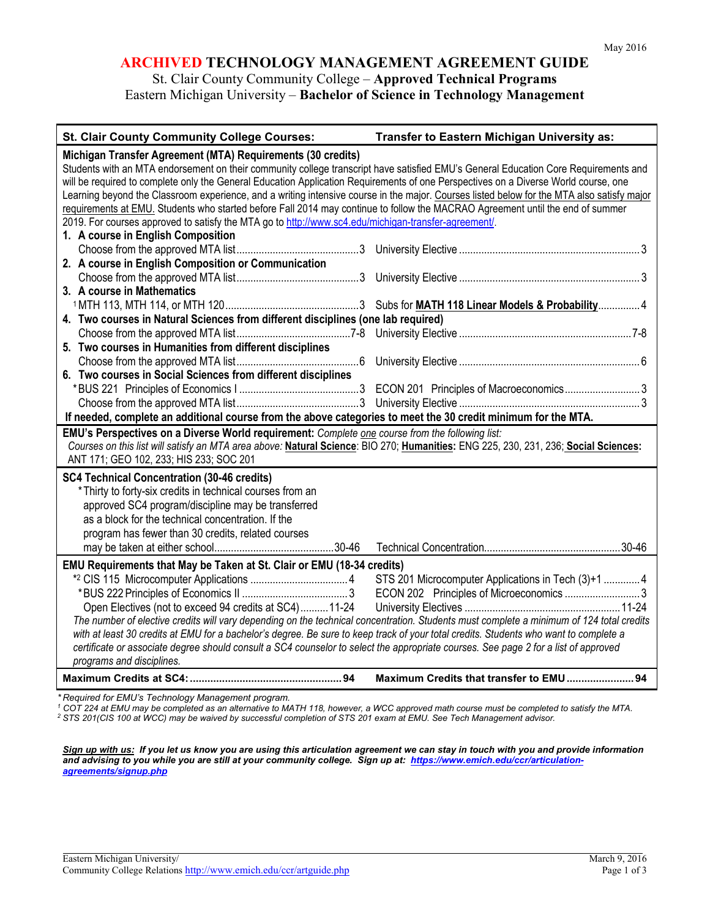### **ARCHIVED TECHNOLOGY MANAGEMENT AGREEMENT GUIDE**

St. Clair County Community College – **Approved Technical Programs** Eastern Michigan University – **Bachelor of Science in Technology Management**

| <b>St. Clair County Community College Courses:</b>                                                                                                                                                                                     | Transfer to Eastern Michigan University as:         |  |
|----------------------------------------------------------------------------------------------------------------------------------------------------------------------------------------------------------------------------------------|-----------------------------------------------------|--|
| Michigan Transfer Agreement (MTA) Requirements (30 credits)<br>Students with an MTA endorsement on their community college transcript have satisfied EMU's General Education Core Requirements and                                     |                                                     |  |
| will be required to complete only the General Education Application Requirements of one Perspectives on a Diverse World course, one                                                                                                    |                                                     |  |
| Learning beyond the Classroom experience, and a writing intensive course in the major. Courses listed below for the MTA also satisfy major                                                                                             |                                                     |  |
| requirements at EMU. Students who started before Fall 2014 may continue to follow the MACRAO Agreement until the end of summer                                                                                                         |                                                     |  |
| 2019. For courses approved to satisfy the MTA go to http://www.sc4.edu/michigan-transfer-agreement/.<br>1. A course in English Composition                                                                                             |                                                     |  |
|                                                                                                                                                                                                                                        |                                                     |  |
| 2. A course in English Composition or Communication                                                                                                                                                                                    |                                                     |  |
|                                                                                                                                                                                                                                        |                                                     |  |
| 3. A course in Mathematics                                                                                                                                                                                                             |                                                     |  |
|                                                                                                                                                                                                                                        |                                                     |  |
| 4. Two courses in Natural Sciences from different disciplines (one lab required)                                                                                                                                                       |                                                     |  |
|                                                                                                                                                                                                                                        |                                                     |  |
| 5. Two courses in Humanities from different disciplines                                                                                                                                                                                |                                                     |  |
|                                                                                                                                                                                                                                        |                                                     |  |
| 6. Two courses in Social Sciences from different disciplines                                                                                                                                                                           |                                                     |  |
|                                                                                                                                                                                                                                        |                                                     |  |
|                                                                                                                                                                                                                                        |                                                     |  |
| If needed, complete an additional course from the above categories to meet the 30 credit minimum for the MTA.                                                                                                                          |                                                     |  |
| EMU's Perspectives on a Diverse World requirement: Complete one course from the following list:<br>Courses on this list will satisfy an MTA area above: Natural Science: BIO 270; Humanities: ENG 225, 230, 231, 236; Social Sciences: |                                                     |  |
| ANT 171; GEO 102, 233; HIS 233; SOC 201                                                                                                                                                                                                |                                                     |  |
| <b>SC4 Technical Concentration (30-46 credits)</b>                                                                                                                                                                                     |                                                     |  |
| *Thirty to forty-six credits in technical courses from an                                                                                                                                                                              |                                                     |  |
| approved SC4 program/discipline may be transferred                                                                                                                                                                                     |                                                     |  |
| as a block for the technical concentration. If the                                                                                                                                                                                     |                                                     |  |
| program has fewer than 30 credits, related courses                                                                                                                                                                                     |                                                     |  |
|                                                                                                                                                                                                                                        |                                                     |  |
| EMU Requirements that May be Taken at St. Clair or EMU (18-34 credits)                                                                                                                                                                 |                                                     |  |
|                                                                                                                                                                                                                                        | STS 201 Microcomputer Applications in Tech (3)+1  4 |  |
|                                                                                                                                                                                                                                        | ECON 202 Principles of Microeconomics 3             |  |
| Open Electives (not to exceed 94 credits at SC4)11-24                                                                                                                                                                                  |                                                     |  |
| The number of elective credits will vary depending on the technical concentration. Students must complete a minimum of 124 total credits                                                                                               |                                                     |  |
| with at least 30 credits at EMU for a bachelor's degree. Be sure to keep track of your total credits. Students who want to complete a                                                                                                  |                                                     |  |
| certificate or associate degree should consult a SC4 counselor to select the appropriate courses. See page 2 for a list of approved                                                                                                    |                                                     |  |
| programs and disciplines.                                                                                                                                                                                                              |                                                     |  |
|                                                                                                                                                                                                                                        |                                                     |  |

*\* Required for EMU's Technology Management program. 1 COT 224 at EMU may be completed as an alternative to MATH 118, however, a WCC approved math course must be completed to satisfy the MTA.*

*<sup>2</sup> STS 201(CIS 100 at WCC) may be waived by successful completion of STS 201 exam at EMU. See Tech Management advisor.*

*Sign up with us: If you let us know you are using this articulation agreement we can stay in touch with you and provide information and advising to you while you are still at your community college. Sign up at: [https://www.emich.edu/ccr/articulation](https://www.emich.edu/ccr/articulation-agreements/signup.php)[agreements/signup.php](https://www.emich.edu/ccr/articulation-agreements/signup.php)*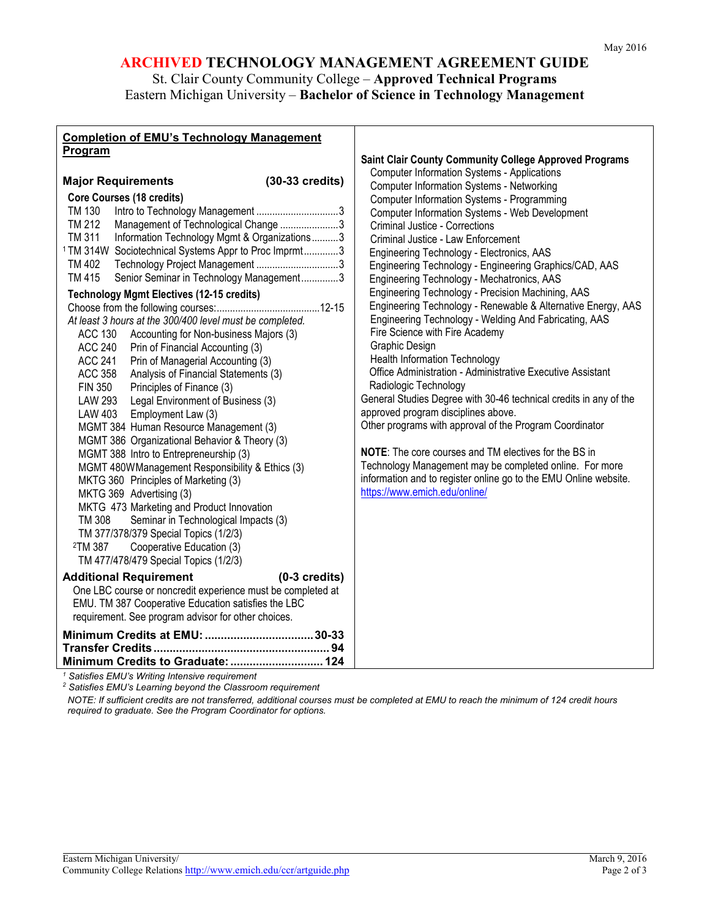## **ARCHIVED TECHNOLOGY MANAGEMENT AGREEMENT GUIDE** St. Clair County Community College – **Approved Technical Programs** Eastern Michigan University – **Bachelor of Science in Technology Management**

| <b>Completion of EMU's Technology Management</b>                                                                                                                                                                                                                                                                                                                                                                                                                                                                                                                                                                                                                                                                                                                                                                                                                                                                                                                                                                                                                                                                                                                                               |                                                                                                                                                                                                                                                                                                                                                                                                                                                                                                                                                                                                                                                                                                                                                                                                                                                                                                                                                                                                                                                                                                                                                                                                                                                                              |
|------------------------------------------------------------------------------------------------------------------------------------------------------------------------------------------------------------------------------------------------------------------------------------------------------------------------------------------------------------------------------------------------------------------------------------------------------------------------------------------------------------------------------------------------------------------------------------------------------------------------------------------------------------------------------------------------------------------------------------------------------------------------------------------------------------------------------------------------------------------------------------------------------------------------------------------------------------------------------------------------------------------------------------------------------------------------------------------------------------------------------------------------------------------------------------------------|------------------------------------------------------------------------------------------------------------------------------------------------------------------------------------------------------------------------------------------------------------------------------------------------------------------------------------------------------------------------------------------------------------------------------------------------------------------------------------------------------------------------------------------------------------------------------------------------------------------------------------------------------------------------------------------------------------------------------------------------------------------------------------------------------------------------------------------------------------------------------------------------------------------------------------------------------------------------------------------------------------------------------------------------------------------------------------------------------------------------------------------------------------------------------------------------------------------------------------------------------------------------------|
| Program                                                                                                                                                                                                                                                                                                                                                                                                                                                                                                                                                                                                                                                                                                                                                                                                                                                                                                                                                                                                                                                                                                                                                                                        |                                                                                                                                                                                                                                                                                                                                                                                                                                                                                                                                                                                                                                                                                                                                                                                                                                                                                                                                                                                                                                                                                                                                                                                                                                                                              |
| $(30-33 \text{ credits})$<br><b>Major Requirements</b><br><b>Core Courses (18 credits)</b><br>TM 130<br>TM 212<br>Management of Technological Change 3<br>TM 311<br>Information Technology Mgmt & Organizations3<br><sup>1</sup> TM 314W Sociotechnical Systems Appr to Proc Imprmt3<br>TM 402<br>Technology Project Management 3<br><b>TM 415</b><br>Senior Seminar in Technology Management3<br><b>Technology Mgmt Electives (12-15 credits)</b><br>At least 3 hours at the 300/400 level must be completed.<br>ACC 130 Accounting for Non-business Majors (3)<br><b>ACC 240</b><br>Prin of Financial Accounting (3)<br><b>ACC 241</b><br>Prin of Managerial Accounting (3)<br><b>ACC 358</b><br>Analysis of Financial Statements (3)<br><b>FIN 350</b><br>Principles of Finance (3)<br>Legal Environment of Business (3)<br><b>LAW 293</b><br><b>LAW 403</b><br>Employment Law (3)<br>MGMT 384 Human Resource Management (3)<br>MGMT 386 Organizational Behavior & Theory (3)<br>MGMT 388 Intro to Entrepreneurship (3)<br>MGMT 480WManagement Responsibility & Ethics (3)<br>MKTG 360 Principles of Marketing (3)<br>MKTG 369 Advertising (3)<br>MKTG 473 Marketing and Product Innovation | <b>Saint Clair County Community College Approved Programs</b><br><b>Computer Information Systems - Applications</b><br><b>Computer Information Systems - Networking</b><br>Computer Information Systems - Programming<br>Computer Information Systems - Web Development<br>Criminal Justice - Corrections<br>Criminal Justice - Law Enforcement<br>Engineering Technology - Electronics, AAS<br>Engineering Technology - Engineering Graphics/CAD, AAS<br>Engineering Technology - Mechatronics, AAS<br>Engineering Technology - Precision Machining, AAS<br>Engineering Technology - Renewable & Alternative Energy, AAS<br>Engineering Technology - Welding And Fabricating, AAS<br>Fire Science with Fire Academy<br>Graphic Design<br><b>Health Information Technology</b><br>Office Administration - Administrative Executive Assistant<br>Radiologic Technology<br>General Studies Degree with 30-46 technical credits in any of the<br>approved program disciplines above.<br>Other programs with approval of the Program Coordinator<br><b>NOTE:</b> The core courses and TM electives for the BS in<br>Technology Management may be completed online. For more<br>information and to register online go to the EMU Online website.<br>https://www.emich.edu/online/ |
| Seminar in Technological Impacts (3)<br>TM 308<br>TM 377/378/379 Special Topics (1/2/3)<br><sup>2</sup> TM 387<br>Cooperative Education (3)<br>TM 477/478/479 Special Topics (1/2/3)                                                                                                                                                                                                                                                                                                                                                                                                                                                                                                                                                                                                                                                                                                                                                                                                                                                                                                                                                                                                           |                                                                                                                                                                                                                                                                                                                                                                                                                                                                                                                                                                                                                                                                                                                                                                                                                                                                                                                                                                                                                                                                                                                                                                                                                                                                              |
| <b>Additional Requirement</b><br>$(0-3 \text{ credits})$                                                                                                                                                                                                                                                                                                                                                                                                                                                                                                                                                                                                                                                                                                                                                                                                                                                                                                                                                                                                                                                                                                                                       |                                                                                                                                                                                                                                                                                                                                                                                                                                                                                                                                                                                                                                                                                                                                                                                                                                                                                                                                                                                                                                                                                                                                                                                                                                                                              |
| One LBC course or noncredit experience must be completed at<br>EMU. TM 387 Cooperative Education satisfies the LBC<br>requirement. See program advisor for other choices.                                                                                                                                                                                                                                                                                                                                                                                                                                                                                                                                                                                                                                                                                                                                                                                                                                                                                                                                                                                                                      |                                                                                                                                                                                                                                                                                                                                                                                                                                                                                                                                                                                                                                                                                                                                                                                                                                                                                                                                                                                                                                                                                                                                                                                                                                                                              |
|                                                                                                                                                                                                                                                                                                                                                                                                                                                                                                                                                                                                                                                                                                                                                                                                                                                                                                                                                                                                                                                                                                                                                                                                |                                                                                                                                                                                                                                                                                                                                                                                                                                                                                                                                                                                                                                                                                                                                                                                                                                                                                                                                                                                                                                                                                                                                                                                                                                                                              |
|                                                                                                                                                                                                                                                                                                                                                                                                                                                                                                                                                                                                                                                                                                                                                                                                                                                                                                                                                                                                                                                                                                                                                                                                |                                                                                                                                                                                                                                                                                                                                                                                                                                                                                                                                                                                                                                                                                                                                                                                                                                                                                                                                                                                                                                                                                                                                                                                                                                                                              |
| Minimum Credits to Graduate:  124                                                                                                                                                                                                                                                                                                                                                                                                                                                                                                                                                                                                                                                                                                                                                                                                                                                                                                                                                                                                                                                                                                                                                              |                                                                                                                                                                                                                                                                                                                                                                                                                                                                                                                                                                                                                                                                                                                                                                                                                                                                                                                                                                                                                                                                                                                                                                                                                                                                              |

*<sup>1</sup> Satisfies EMU's Writing Intensive requirement*

*<sup>2</sup> Satisfies EMU's Learning beyond the Classroom requirement*

*NOTE: If sufficient credits are not transferred, additional courses must be completed at EMU to reach the minimum of 124 credit hours required to graduate. See the Program Coordinator for options.*